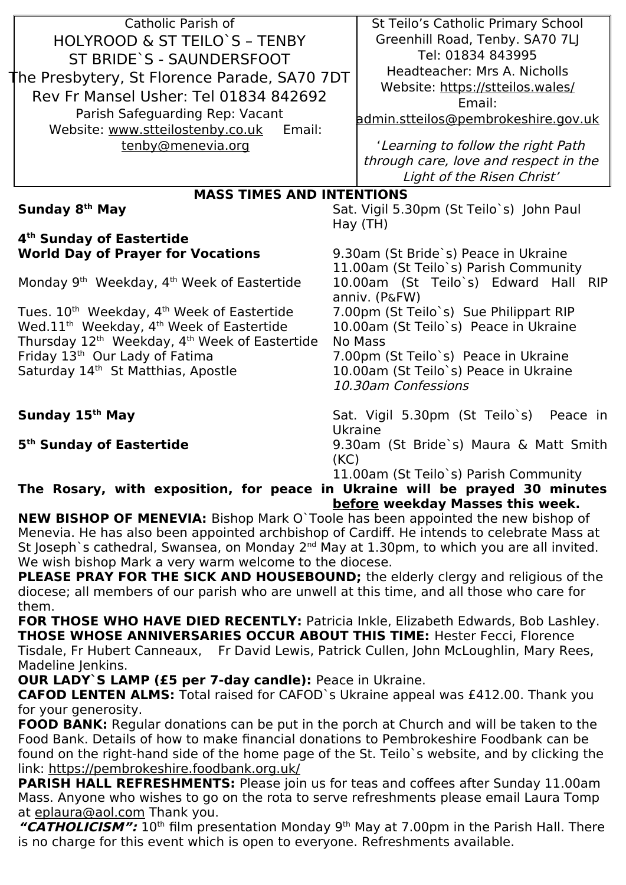| Catholic Parish of                                                          | St Teilo's Catholic Primary School                                  |
|-----------------------------------------------------------------------------|---------------------------------------------------------------------|
| HOLYROOD & ST TEILO'S - TENBY                                               | Greenhill Road, Tenby. SA70 7LJ                                     |
| ST BRIDE`S - SAUNDERSFOOT                                                   | Tel: 01834 843995                                                   |
| he Presbytery, St Florence Parade, SA70 7DT                                 | Headteacher: Mrs A. Nicholls                                        |
| Rev Fr Mansel Usher: Tel 01834 842692                                       | Website: https://stteilos.wales/                                    |
|                                                                             | Email:                                                              |
| Parish Safeguarding Rep: Vacant<br>Email:                                   | admin.stteilos@pembrokeshire.gov.uk                                 |
| Website: www.stteilostenby.co.uk                                            |                                                                     |
| tenby@menevia.org                                                           | 'Learning to follow the right Path                                  |
|                                                                             | through care, love and respect in the<br>Light of the Risen Christ' |
|                                                                             |                                                                     |
| <b>MASS TIMES AND INTENTIONS</b>                                            |                                                                     |
| Sunday 8 <sup>th</sup> May                                                  | Sat. Vigil 5.30pm (St Teilo's) John Paul<br>Hay (TH)                |
| 4 <sup>th</sup> Sunday of Eastertide                                        |                                                                     |
| <b>World Day of Prayer for Vocations</b>                                    | 9.30am (St Bride`s) Peace in Ukraine                                |
|                                                                             | 11.00am (St Teilo's) Parish Community                               |
| Monday 9 <sup>th</sup> Weekday, 4 <sup>th</sup> Week of Eastertide          | 10.00am (St Teilo's) Edward Hall RIP                                |
|                                                                             | anniv. (P&FW)                                                       |
| Tues. 10 <sup>th</sup> Weekday, 4 <sup>th</sup> Week of Eastertide          | 7.00pm (St Teilo's) Sue Philippart RIP                              |
| Wed.11 <sup>th</sup> Weekday, 4 <sup>th</sup> Week of Eastertide            | 10.00am (St Teilo's) Peace in Ukraine                               |
| Thursday 12 <sup>th</sup> Weekday, 4 <sup>th</sup> Week of Eastertide       | <b>No Mass</b>                                                      |
| Friday 13th Our Lady of Fatima                                              | 7.00pm (St Teilo's) Peace in Ukraine                                |
| Saturday 14th St Matthias, Apostle                                          | 10.00am (St Teilo's) Peace in Ukraine                               |
|                                                                             | 10.30am Confessions                                                 |
| Sunday 15th May                                                             | Sat. Vigil 5.30pm (St Teilo's)<br>Peace in                          |
|                                                                             | Ukraine                                                             |
| 5 <sup>th</sup> Sunday of Eastertide                                        | 9.30am (St Bride's) Maura & Matt Smith                              |
|                                                                             | (KC)                                                                |
|                                                                             | 11.00am (St Teilo's) Parish Community                               |
| The Rosary, with exposition, for peace in Ukraine will be prayed 30 minutes |                                                                     |

**before weekday Masses this week.**

**NEW BISHOP OF MENEVIA:** Bishop Mark O`Toole has been appointed the new bishop of Menevia. He has also been appointed archbishop of Cardiff. He intends to celebrate Mass at St Joseph's cathedral, Swansea, on Monday  $2^{nd}$  May at 1.30pm, to which you are all invited. We wish bishop Mark a very warm welcome to the diocese.

**PLEASE PRAY FOR THE SICK AND HOUSEBOUND;** the elderly clergy and religious of the diocese; all members of our parish who are unwell at this time, and all those who care for them.

**FOR THOSE WHO HAVE DIED RECENTLY:** Patricia Inkle, Elizabeth Edwards, Bob Lashley. **THOSE WHOSE ANNIVERSARIES OCCUR ABOUT THIS TIME:** Hester Fecci, Florence Tisdale, Fr Hubert Canneaux, Fr David Lewis, Patrick Cullen, John McLoughlin, Mary Rees, Madeline Jenkins.

**OUR LADY`S LAMP (£5 per 7-day candle):** Peace in Ukraine.

**CAFOD LENTEN ALMS:** Total raised for CAFOD`s Ukraine appeal was £412.00. Thank you for your generosity.

**FOOD BANK:** Regular donations can be put in the porch at Church and will be taken to the Food Bank. Details of how to make financial donations to Pembrokeshire Foodbank can be found on the right-hand side of the home page of the St. Teilo`s website, and by clicking the link: https://pembrokeshire.foodbank.org.uk/

**PARISH HALL REFRESHMENTS:** Please join us for teas and coffees after Sunday 11.00am Mass. Anyone who wishes to go on the rota to serve refreshments please email Laura Tomp at [eplaura@aol.com](mailto:eplaura@aol.com) Thank you.

"CATHOLICISM": 10<sup>th</sup> film presentation Monday 9<sup>th</sup> May at 7.00pm in the Parish Hall. There is no charge for this event which is open to everyone. Refreshments available.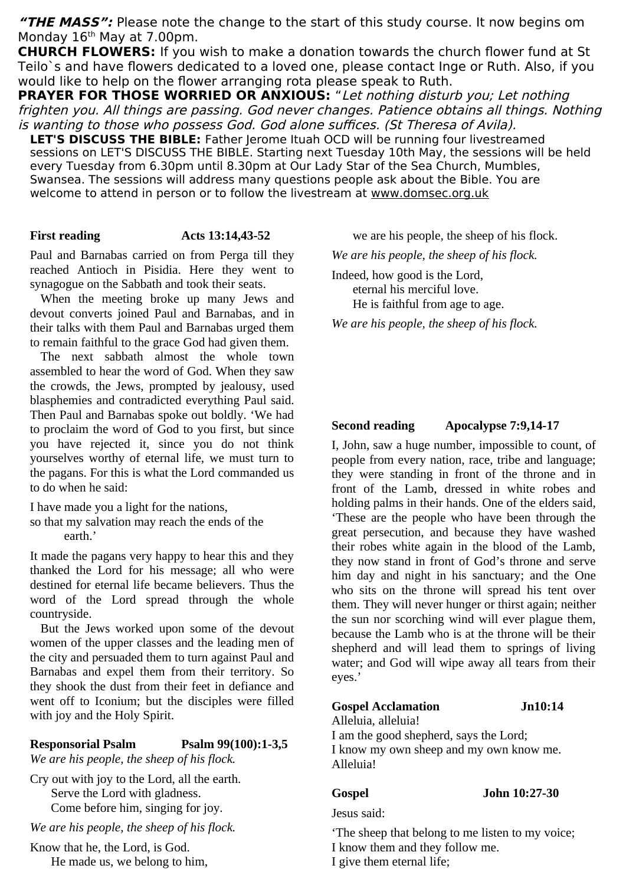**"THE MASS":** Please note the change to the start of this study course. It now begins om Monday  $16<sup>th</sup>$  May at 7.00pm.

**CHURCH FLOWERS:** If you wish to make a donation towards the church flower fund at St Teilo`s and have flowers dedicated to a loved one, please contact Inge or Ruth. Also, if you would like to help on the flower arranging rota please speak to Ruth.

**PRAYER FOR THOSE WORRIED OR ANXIOUS:** "Let nothing disturb you; Let nothing frighten you. All things are passing. God never changes. Patience obtains all things. Nothing is wanting to those who possess God. God alone suffices. (St Theresa of Avila).

LET'S DISCUSS THE BIBLE: Father Jerome Ituah OCD will be running four livestreamed sessions on LET'S DISCUSS THE BIBLE. Starting next Tuesday 10th May, the sessions will be held every Tuesday from 6.30pm until 8.30pm at Our Lady Star of the Sea Church, Mumbles, Swansea. The sessions will address many questions people ask about the Bible. You are welcome to attend in person or to follow the livestream at [www.domsec.org.uk](http://www.domsec.org.uk/)

### **First reading Acts 13:14,43-52**

Paul and Barnabas carried on from Perga till they reached Antioch in Pisidia. Here they went to synagogue on the Sabbath and took their seats.

When the meeting broke up many Jews and devout converts joined Paul and Barnabas, and in their talks with them Paul and Barnabas urged them to remain faithful to the grace God had given them.

The next sabbath almost the whole town assembled to hear the word of God. When they saw the crowds, the Jews, prompted by jealousy, used blasphemies and contradicted everything Paul said. Then Paul and Barnabas spoke out boldly. 'We had to proclaim the word of God to you first, but since you have rejected it, since you do not think yourselves worthy of eternal life, we must turn to the pagans. For this is what the Lord commanded us to do when he said:

I have made you a light for the nations, so that my salvation may reach the ends of the

earth.'

It made the pagans very happy to hear this and they thanked the Lord for his message; all who were destined for eternal life became believers. Thus the word of the Lord spread through the whole countryside.

But the Jews worked upon some of the devout women of the upper classes and the leading men of the city and persuaded them to turn against Paul and Barnabas and expel them from their territory. So they shook the dust from their feet in defiance and went off to Iconium; but the disciples were filled with joy and the Holy Spirit.

## **Responsorial Psalm Psalm 99(100):1-3,5**

*We are his people, the sheep of his flock.*

Cry out with joy to the Lord, all the earth. Serve the Lord with gladness. Come before him, singing for joy.

*We are his people, the sheep of his flock.*

Know that he, the Lord, is God. He made us, we belong to him, we are his people, the sheep of his flock.

*We are his people, the sheep of his flock.*

Indeed, how good is the Lord, eternal his merciful love. He is faithful from age to age.

*We are his people, the sheep of his flock.*

# **Second reading Apocalypse 7:9,14-17**

I, John, saw a huge number, impossible to count, of people from every nation, race, tribe and language; they were standing in front of the throne and in front of the Lamb, dressed in white robes and holding palms in their hands. One of the elders said, 'These are the people who have been through the great persecution, and because they have washed their robes white again in the blood of the Lamb, they now stand in front of God's throne and serve him day and night in his sanctuary; and the One who sits on the throne will spread his tent over them. They will never hunger or thirst again; neither the sun nor scorching wind will ever plague them, because the Lamb who is at the throne will be their shepherd and will lead them to springs of living water; and God will wipe away all tears from their eyes.'

### **Gospel Acclamation Jn10:14**

Alleluia, alleluia! I am the good shepherd, says the Lord; I know my own sheep and my own know me. Alleluia!

### **Gospel John 10:27-30**

Jesus said:

'The sheep that belong to me listen to my voice;

I know them and they follow me.

I give them eternal life;